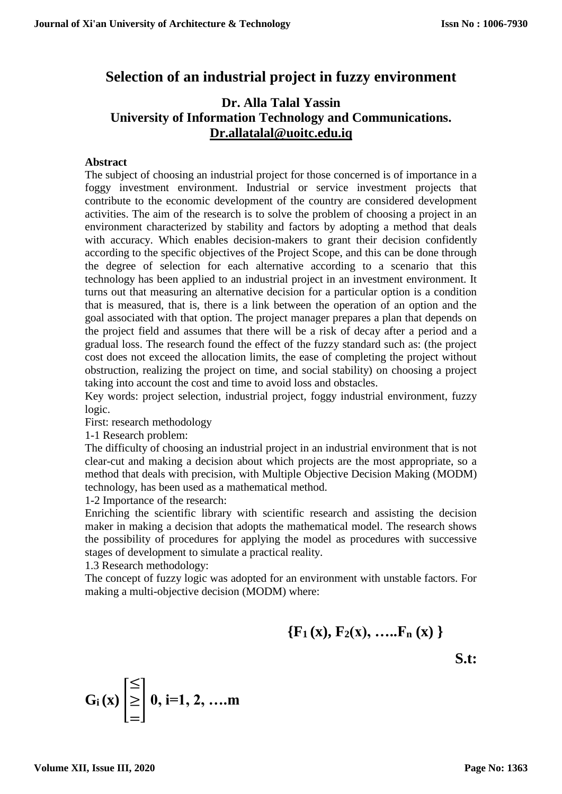### **Selection of an industrial project in fuzzy environment**

#### **Dr. Alla Talal Yassin University of Information Technology and Communications. [Dr.allatalal@uoitc.edu.iq](mailto:Dr.allatalal@uoitc.edu.iq)**

#### **Abstract**

The subject of choosing an industrial project for those concerned is of importance in a foggy investment environment. Industrial or service investment projects that contribute to the economic development of the country are considered development activities. The aim of the research is to solve the problem of choosing a project in an environment characterized by stability and factors by adopting a method that deals with accuracy. Which enables decision-makers to grant their decision confidently according to the specific objectives of the Project Scope, and this can be done through the degree of selection for each alternative according to a scenario that this technology has been applied to an industrial project in an investment environment. It turns out that measuring an alternative decision for a particular option is a condition that is measured, that is, there is a link between the operation of an option and the goal associated with that option. The project manager prepares a plan that depends on the project field and assumes that there will be a risk of decay after a period and a gradual loss. The research found the effect of the fuzzy standard such as: (the project cost does not exceed the allocation limits, the ease of completing the project without obstruction, realizing the project on time, and social stability) on choosing a project taking into account the cost and time to avoid loss and obstacles.

Key words: project selection, industrial project, foggy industrial environment, fuzzy logic.

First: research methodology

1-1 Research problem:

The difficulty of choosing an industrial project in an industrial environment that is not clear-cut and making a decision about which projects are the most appropriate, so a method that deals with precision, with Multiple Objective Decision Making (MODM) technology, has been used as a mathematical method.

1-2 Importance of the research:

Enriching the scientific library with scientific research and assisting the decision maker in making a decision that adopts the mathematical model. The research shows the possibility of procedures for applying the model as procedures with successive stages of development to simulate a practical reality.

1.3 Research methodology:

The concept of fuzzy logic was adopted for an environment with unstable factors. For making a multi-objective decision (MODM) where:

 ${F_1(x), F_2(x), \ldots, F_n(x)}$ 

**S.t:**

$$
G_i(x) \stackrel{\le}{\geq} 0, i=1, 2, ...
$$
m

≤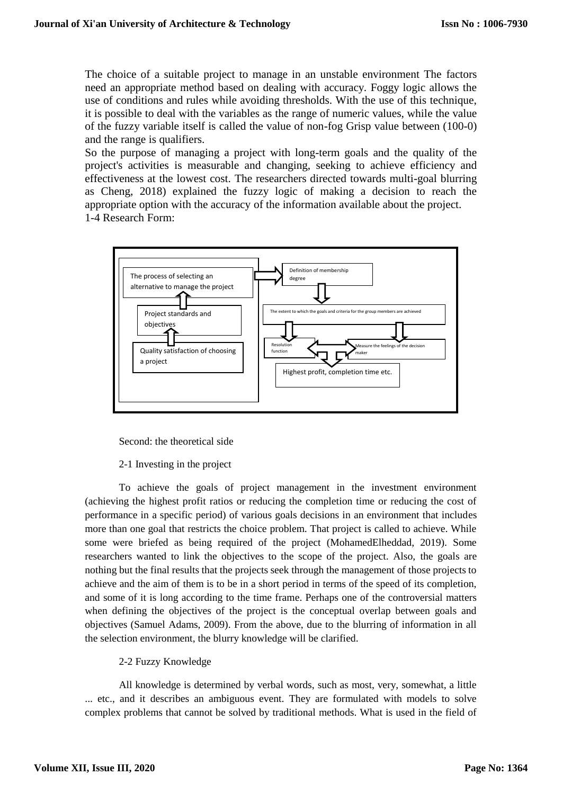The choice of a suitable project to manage in an unstable environment The factors need an appropriate method based on dealing with accuracy. Foggy logic allows the use of conditions and rules while avoiding thresholds. With the use of this technique, it is possible to deal with the variables as the range of numeric values, while the value of the fuzzy variable itself is called the value of non-fog Grisp value between (100-0) and the range is qualifiers.

So the purpose of managing a project with long-term goals and the quality of the project's activities is measurable and changing, seeking to achieve efficiency and effectiveness at the lowest cost. The researchers directed towards multi-goal blurring as Cheng, 2018) explained the fuzzy logic of making a decision to reach the appropriate option with the accuracy of the information available about the project. 1-4 Research Form:



Second: the theoretical side

#### 2-1 Investing in the project

To achieve the goals of project management in the investment environment (achieving the highest profit ratios or reducing the completion time or reducing the cost of performance in a specific period) of various goals decisions in an environment that includes more than one goal that restricts the choice problem. That project is called to achieve. While some were briefed as being required of the project (MohamedElheddad, 2019). Some researchers wanted to link the objectives to the scope of the project. Also, the goals are nothing but the final results that the projects seek through the management of those projects to achieve and the aim of them is to be in a short period in terms of the speed of its completion, and some of it is long according to the time frame. Perhaps one of the controversial matters when defining the objectives of the project is the conceptual overlap between goals and objectives (Samuel Adams, 2009). From the above, due to the blurring of information in all the selection environment, the blurry knowledge will be clarified.

#### 2-2 Fuzzy Knowledge

All knowledge is determined by verbal words, such as most, very, somewhat, a little ... etc., and it describes an ambiguous event. They are formulated with models to solve complex problems that cannot be solved by traditional methods. What is used in the field of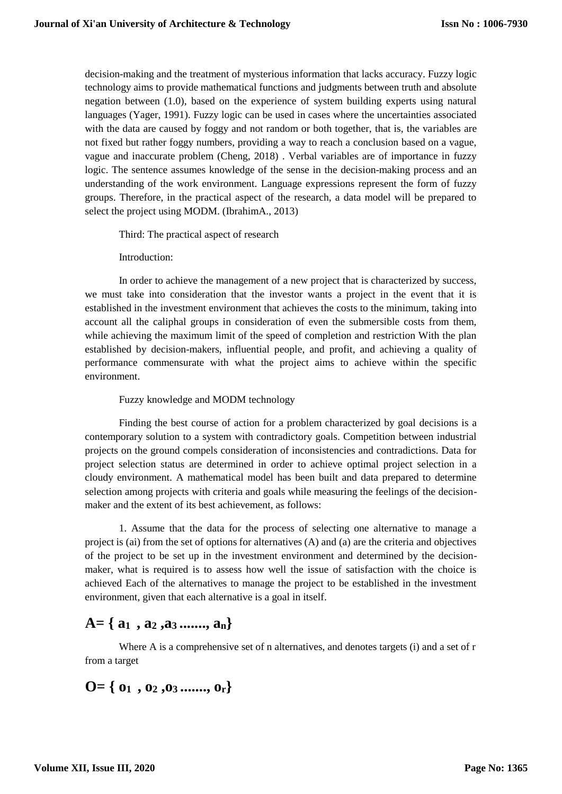decision-making and the treatment of mysterious information that lacks accuracy. Fuzzy logic technology aims to provide mathematical functions and judgments between truth and absolute negation between (1.0), based on the experience of system building experts using natural languages (Yager, 1991). Fuzzy logic can be used in cases where the uncertainties associated with the data are caused by foggy and not random or both together, that is, the variables are not fixed but rather foggy numbers, providing a way to reach a conclusion based on a vague, vague and inaccurate problem (Cheng, 2018) . Verbal variables are of importance in fuzzy logic. The sentence assumes knowledge of the sense in the decision-making process and an understanding of the work environment. Language expressions represent the form of fuzzy groups. Therefore, in the practical aspect of the research, a data model will be prepared to select the project using MODM. (IbrahimA., 2013)

Third: The practical aspect of research

Introduction:

In order to achieve the management of a new project that is characterized by success, we must take into consideration that the investor wants a project in the event that it is established in the investment environment that achieves the costs to the minimum, taking into account all the caliphal groups in consideration of even the submersible costs from them, while achieving the maximum limit of the speed of completion and restriction With the plan established by decision-makers, influential people, and profit, and achieving a quality of performance commensurate with what the project aims to achieve within the specific environment.

Fuzzy knowledge and MODM technology

Finding the best course of action for a problem characterized by goal decisions is a contemporary solution to a system with contradictory goals. Competition between industrial projects on the ground compels consideration of inconsistencies and contradictions. Data for project selection status are determined in order to achieve optimal project selection in a cloudy environment. A mathematical model has been built and data prepared to determine selection among projects with criteria and goals while measuring the feelings of the decisionmaker and the extent of its best achievement, as follows:

1. Assume that the data for the process of selecting one alternative to manage a project is (ai) from the set of options for alternatives (A) and (a) are the criteria and objectives of the project to be set up in the investment environment and determined by the decisionmaker, what is required is to assess how well the issue of satisfaction with the choice is achieved Each of the alternatives to manage the project to be established in the investment environment, given that each alternative is a goal in itself.

### **A= { a1 , a<sup>2</sup> ,a3 ......., an}**

Where A is a comprehensive set of n alternatives, and denotes targets (i) and a set of r from a target

$$
O = \{ 01, 02, 03 \dots, 0r \}
$$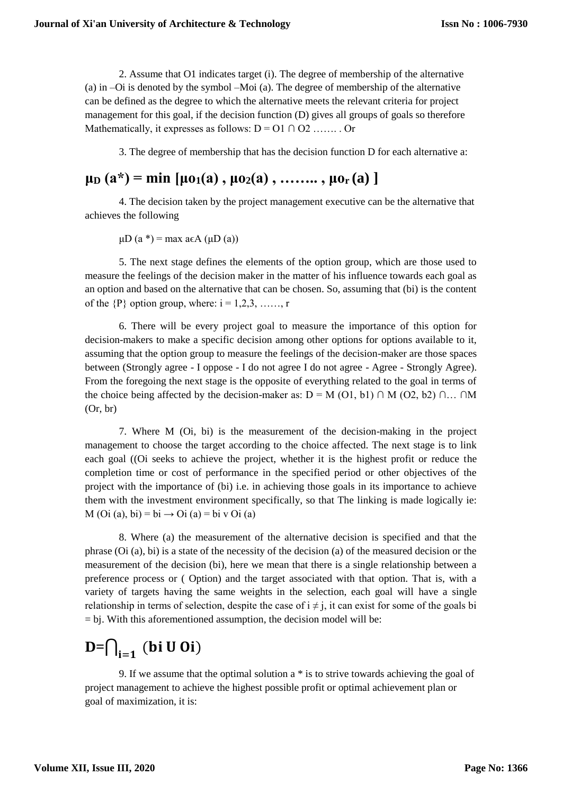2. Assume that O1 indicates target (i). The degree of membership of the alternative (a) in –Oi is denoted by the symbol –Moi (a). The degree of membership of the alternative can be defined as the degree to which the alternative meets the relevant criteria for project management for this goal, if the decision function (D) gives all groups of goals so therefore Mathematically, it expresses as follows:  $D = 01 \cap 02$  ....... Or

3. The degree of membership that has the decision function D for each alternative a:

## $\mu$ <sup>D</sup>  $(a^*)$  = min  $[\mu$ <sub>0</sub><sub>1</sub> $(a)$ ,  $\mu$ <sub>0<sup>2</sub> $(a)$ , ……..,  $\mu$ <sub>0<sup>r</sub></sup> $(a)$ ]</sub></sup></sub>

4. The decision taken by the project management executive can be the alternative that achieves the following

 $\mu$ D (a \*) = max a $\epsilon$ A ( $\mu$ D (a))

5. The next stage defines the elements of the option group, which are those used to measure the feelings of the decision maker in the matter of his influence towards each goal as an option and based on the alternative that can be chosen. So, assuming that (bi) is the content of the  $\{P\}$  option group, where:  $i = 1,2,3, \ldots$ , r

6. There will be every project goal to measure the importance of this option for decision-makers to make a specific decision among other options for options available to it, assuming that the option group to measure the feelings of the decision-maker are those spaces between (Strongly agree - I oppose - I do not agree I do not agree - Agree - Strongly Agree). From the foregoing the next stage is the opposite of everything related to the goal in terms of the choice being affected by the decision-maker as:  $D = M (O1, b1) \cap M (O2, b2) \cap ... \cap M$ (Or, br)

7. Where M (Oi, bi) is the measurement of the decision-making in the project management to choose the target according to the choice affected. The next stage is to link each goal ((Oi seeks to achieve the project, whether it is the highest profit or reduce the completion time or cost of performance in the specified period or other objectives of the project with the importance of (bi) i.e. in achieving those goals in its importance to achieve them with the investment environment specifically, so that The linking is made logically ie:  $M$  (Oi (a), bi) = bi  $\rightarrow$  Oi (a) = bi v Oi (a)

8. Where (a) the measurement of the alternative decision is specified and that the phrase (Oi (a), bi) is a state of the necessity of the decision (a) of the measured decision or the measurement of the decision (bi), here we mean that there is a single relationship between a preference process or ( Option) and the target associated with that option. That is, with a variety of targets having the same weights in the selection, each goal will have a single relationship in terms of selection, despite the case of  $i \neq j$ , it can exist for some of the goals bi  $=$  bj. With this aforementioned assumption, the decision model will be:

# **D**= $\bigcap_{i=1}$  (bi U Oi)

9. If we assume that the optimal solution a \* is to strive towards achieving the goal of project management to achieve the highest possible profit or optimal achievement plan or goal of maximization, it is: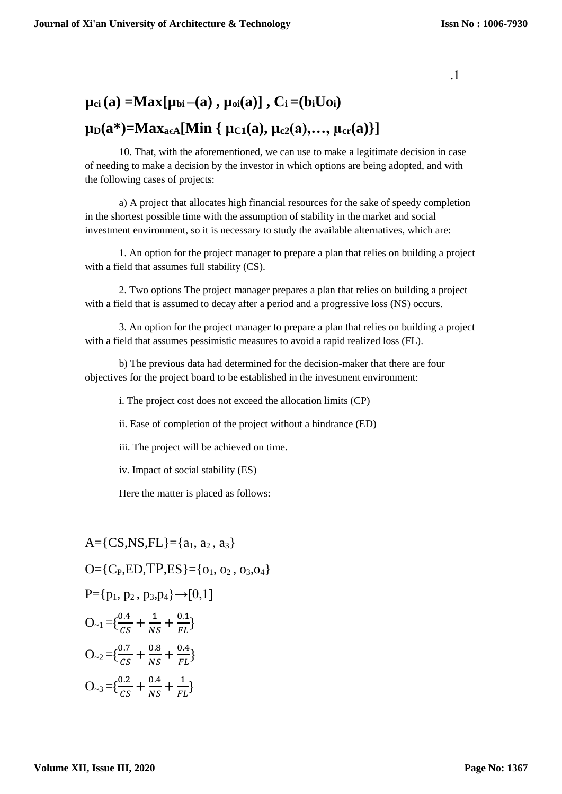.1

# $\mu_{ci}(a) = Max[\mu_{bi}-(a), \mu_{oi}(a)]$ ,  $C_i = (b_iUo_i)$

### $\mu_{D}(a^*) = Max_{a \in A}[Min \{ \mu_{C1}(a), \mu_{c2}(a), ..., \mu_{cr}(a) \}]$

10. That, with the aforementioned, we can use to make a legitimate decision in case of needing to make a decision by the investor in which options are being adopted, and with the following cases of projects:

a) A project that allocates high financial resources for the sake of speedy completion in the shortest possible time with the assumption of stability in the market and social investment environment, so it is necessary to study the available alternatives, which are:

1. An option for the project manager to prepare a plan that relies on building a project with a field that assumes full stability (CS).

2. Two options The project manager prepares a plan that relies on building a project with a field that is assumed to decay after a period and a progressive loss (NS) occurs.

3. An option for the project manager to prepare a plan that relies on building a project with a field that assumes pessimistic measures to avoid a rapid realized loss (FL).

b) The previous data had determined for the decision-maker that there are four objectives for the project board to be established in the investment environment:

i. The project cost does not exceed the allocation limits (CP)

ii. Ease of completion of the project without a hindrance (ED)

iii. The project will be achieved on time.

iv. Impact of social stability (ES)

Here the matter is placed as follows:

A=
$$
\{CS, NS, FL\} = \{a_1, a_2, a_3\}
$$
  
O= $\{C_P, ED, TP, ES\} = \{o_1, o_2, o_3, o_4\}$   
P= $\{p_1, p_2, p_3, p_4\} \rightarrow [0,1]$   
O<sub>-1</sub> = $\{\frac{0.4}{cs} + \frac{1}{NS} + \frac{0.1}{FL}\}$   
O<sub>-2</sub> = $\{\frac{0.7}{cs} + \frac{0.8}{NS} + \frac{0.4}{FL}\}$   
O<sub>-3</sub> = $\{\frac{0.2}{cs} + \frac{0.4}{NS} + \frac{1}{FL}\}$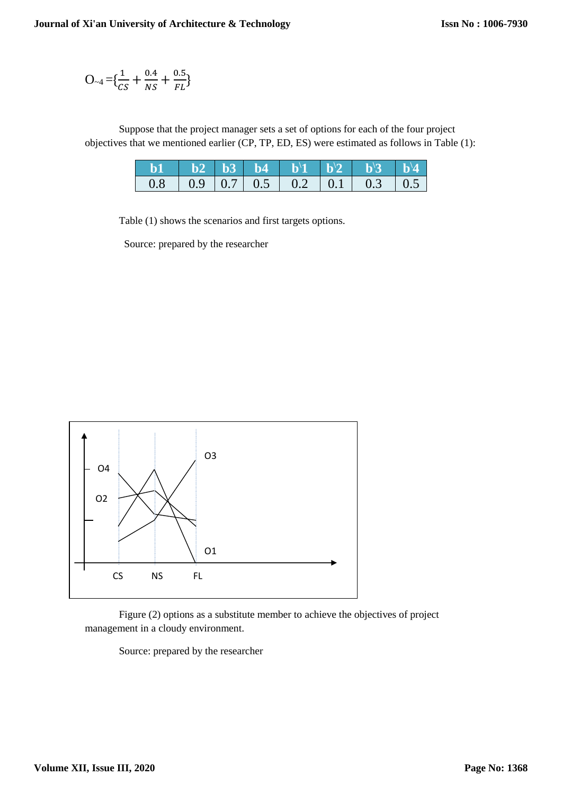$$
O_{\sim 4} = {\frac{1}{CS} + \frac{0.4}{NS} + \frac{0.5}{FL}}
$$

Suppose that the project manager sets a set of options for each of the four project objectives that we mentioned earlier (CP, TP, ED, ES) were estimated as follows in Table (1):

|  |  |  | <b>b1 b2 b3 b4 b</b> <sup>1</sup> <b>b</b> <sup>1</sup> <b>b</b> <sup>1</sup> <b>b</b> <sup>1</sup> <b>b</b> <sup>1</sup> <b>b</b> <sup>1</sup> <b>b</b> <sup>1</sup> |  |
|--|--|--|-----------------------------------------------------------------------------------------------------------------------------------------------------------------------|--|
|  |  |  |                                                                                                                                                                       |  |

Table (1) shows the scenarios and first targets options.

Source: prepared by the researcher



Figure (2) options as a substitute member to achieve the objectives of project management in a cloudy environment.

Source: prepared by the researcher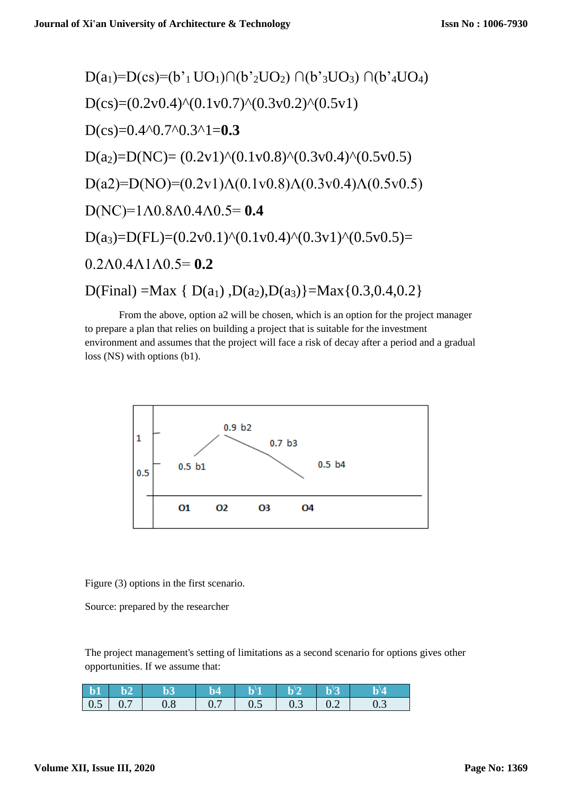$$
D(a_1)=D(cs)=(b'_{1}UO_{1})\cap (b'_{2}UO_{2}) \cap (b'_{3}UO_{3}) \cap (b'_{4}UO_{4})
$$
  
\n
$$
D(cs)=(0.2v0.4)^{(0.1v0.7)^{(0.3v0.2)^{(0.5v1)}}
$$
  
\n
$$
D(cs)=0.4^{(0.7)^{(0.3v1-0.3}}
$$
  
\n
$$
D(a_2)=D(NC)=(0.2v1)^{(0.1v0.8)^{(0.3v0.4)^{(0.5v0.5)}}
$$
  
\n
$$
D(a_2)=D(NO)=(0.2v1)\Lambda(0.1v0.8)\Lambda(0.3v0.4)\Lambda(0.5v0.5)
$$
  
\n
$$
D(NC)=1\Lambda 0.8\Lambda 0.4\Lambda 0.5=0.4
$$
  
\n
$$
D(a_3)=D(FL)=(0.2v0.1)^{(0.1v0.4)^{(0.3v1)^{(0.5v0.5)}}=
$$
  
\n0.2 $\Lambda 0.4\Lambda 1\Lambda 0.5=0.2$   
\n
$$
D(Final) = Max \{ D(a_1), D(a_2), D(a_3) \} = Max \{ 0.3, 0.4, 0.2 \}
$$

From the above, option a2 will be chosen, which is an option for the project manager to prepare a plan that relies on building a project that is suitable for the investment environment and assumes that the project will face a risk of decay after a period and a gradual loss (NS) with options (b1).



Figure (3) options in the first scenario.

Source: prepared by the researcher

The project management's setting of limitations as a second scenario for options gives other opportunities. If we assume that:

|  | $b1 b2 b3$    | $\blacksquare$ b4 | $\mathbf{b}^1$ $\mathbf{b}^1$ $\mathbf{b}^1$ $\mathbf{b}^1$ $\mathbf{b}^1$ $\mathbf{b}^1$  |  | $\mathbf{b}^{\prime}$ |
|--|---------------|-------------------|--------------------------------------------------------------------------------------------|--|-----------------------|
|  | $0.5$ 0.7 0.8 |                   | $\begin{array}{ c c c c c c c c } \hline 0.7 & 0.5 & 0.3 & 0.2 & 0.3 \ \hline \end{array}$ |  |                       |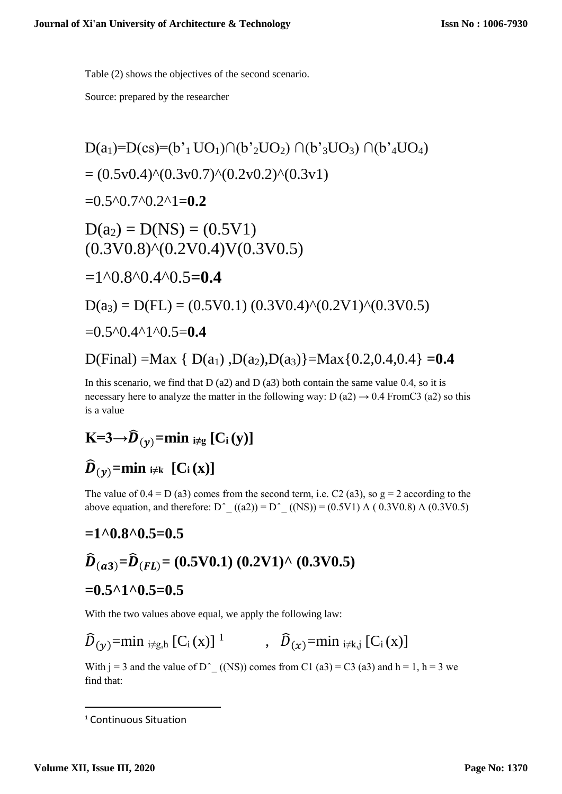Table (2) shows the objectives of the second scenario.

Source: prepared by the researcher

D(a1)=D(cs)=(b'1 UO1)∩(b'2UO2) ∩(b'3UO3) ∩(b'4UO4) = (0.5v0.4)^(0.3v0.7)^(0.2v0.2)^(0.3v1) =0.5^0.7^0.2^1=**0.2** D(a2) = D(NS) = (0.5V1) (0.3V0.8)^(0.2V0.4)V(0.3V0.5) =1^0.8^0.4^0.5**=0.4** D(a3) = D(FL) = (0.5V0.1) (0.3V0.4)^(0.2V1)^(0.3V0.5) =0.5^0.4^1^0.5=**0.4** D(Final) =Max { D(a1) ,D(a2),D(a3)}=Max{0.2,0.4,0.4} **=0.4**

In this scenario, we find that  $D$  (a2) and  $D$  (a3) both contain the same value 0.4, so it is necessary here to analyze the matter in the following way:  $D(a2) \rightarrow 0.4$  FromC3 (a2) so this is a value

$$
K\!\!=\!\!3\!\!\rightarrow\!\!\widehat{\boldsymbol{D}}_{\left(\boldsymbol{y}\right)}\!\!=\!\!\boldsymbol{\min}\;{}_{i\not\!=\!g}\left[C_{i}\left(\boldsymbol{y}\right)\right]
$$

# $\widehat{\mathbf{D}}_{(\gamma)}$ =min  $\underset{\gamma \neq k}{\text{min}}$  [C<sub>i</sub>(x)]

The value of  $0.4 = D(a3)$  comes from the second term, i.e. C2 (a3), so  $g = 2$  according to the above equation, and therefore:  $D^{\wedge}$   $((a2)) = D^{\wedge}$   $((NS)) = (0.5V1) \wedge (0.3V0.8) \wedge (0.3V0.5)$ 

$$
=1^{\circ}0.8^{\circ}0.5=0.5
$$
  

$$
\widehat{D}_{(a3)}=\widehat{D}_{(FL)}=(0.5\,\text{V0.1})\ (0.2\,\text{V1})^{\wedge}\ (0.3\,\text{V0.5})
$$
  

$$
=0.5^{\circ}1^{\circ}0.5=0.5
$$

With the two values above equal, we apply the following law:

$$
\widehat{D}_{(y)} = \min_{i \neq g, h} [C_i(x)]^1 \qquad , \quad \widehat{D}_{(x)} = \min_{i \neq k, j} [C_i(x)]
$$

With  $j = 3$  and the value of D<sup>o</sup> ((NS)) comes from C1 (a3) = C3 (a3) and h = 1, h = 3 we find that:

1

<sup>&</sup>lt;sup>1</sup> Continuous Situation